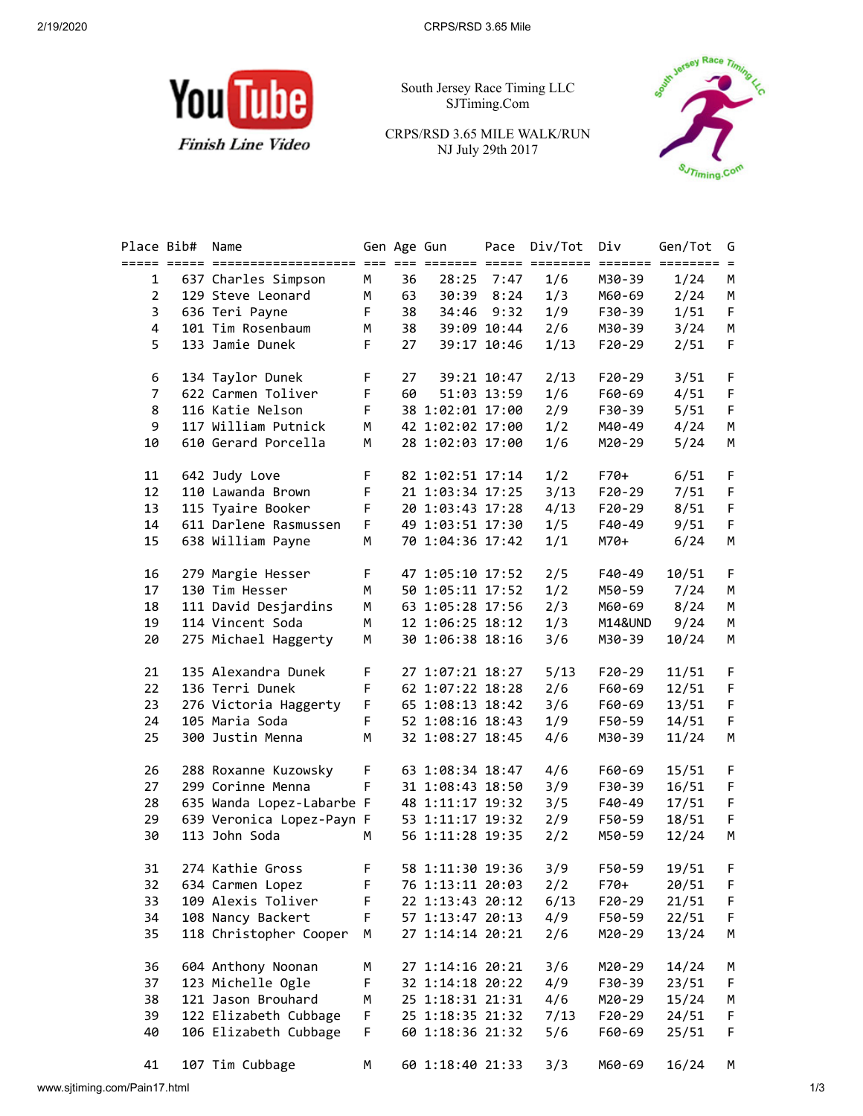

South Jersey Race Timing LLC SJTiming.Com

CRPS/RSD 3.65 MILE WALK/RUN NJ July 29th 2017



| Place Bib#     | Name                      |             | Gen Age Gun |                  | Pace        | Div/Tot | Div      | Gen/Tot                    | G      |
|----------------|---------------------------|-------------|-------------|------------------|-------------|---------|----------|----------------------------|--------|
| $\mathbf{1}$   | 637 Charles Simpson       | M           | 36          |                  | 28:25 7:47  | 1/6     | M30-39   | ======= ======== =<br>1/24 | М      |
| $\overline{2}$ | 129 Steve Leonard         | M           | 63          |                  | 30:39 8:24  | 1/3     | M60-69   | 2/24                       | M      |
| 3              | 636 Teri Payne            | F           | 38          |                  | 34:46 9:32  | 1/9     | F30-39   | 1/51                       | F      |
| $\overline{4}$ | 101 Tim Rosenbaum         | M           | 38          |                  | 39:09 10:44 | 2/6     | M30-39   | 3/24                       | M      |
| 5              | 133 Jamie Dunek           | F.          | 27          |                  | 39:17 10:46 | 1/13    | $F20-29$ | 2/51                       | F      |
| 6              | 134 Taylor Dunek          | F           | 27          |                  | 39:21 10:47 | 2/13    | F20-29   | 3/51                       | F      |
| $\overline{7}$ | 622 Carmen Toliver        | F           | 60          |                  | 51:03 13:59 | 1/6     | F60-69   | 4/51                       | F      |
| 8              | 116 Katie Nelson          | F           |             | 38 1:02:01 17:00 |             | 2/9     | F30-39   | 5/51                       | F      |
| 9              | 117 William Putnick       | M           |             | 42 1:02:02 17:00 |             | 1/2     | M40-49   | 4/24                       | M      |
| 10             | 610 Gerard Porcella       | M           |             | 28 1:02:03 17:00 |             | 1/6     | M20-29   | 5/24                       | М      |
| 11             | 642 Judy Love             | F.          |             | 82 1:02:51 17:14 |             | 1/2     | F70+     | 6/51                       | F      |
| 12             | 110 Lawanda Brown         | F           |             | 21 1:03:34 17:25 |             | 3/13    | F20-29   | 7/51                       | F      |
| 13             | 115 Tyaire Booker         | F.          |             | 20 1:03:43 17:28 |             | 4/13    | F20-29   | 8/51                       | F      |
| 14             | 611 Darlene Rasmussen     | F           |             | 49 1:03:51 17:30 |             | 1/5     | F40-49   | 9/51                       | F      |
| 15             | 638 William Payne         | М           |             | 70 1:04:36 17:42 |             | 1/1     | M70+     | 6/24                       | М      |
| 16             | 279 Margie Hesser         | F           |             | 47 1:05:10 17:52 |             | 2/5     | F40-49   | 10/51                      | F      |
| 17             | 130 Tim Hesser            | M           |             | 50 1:05:11 17:52 |             | 1/2     | M50-59   | 7/24                       | М<br>M |
| 18             | 111 David Desjardins      | M           |             | 63 1:05:28 17:56 |             | 2/3     | M60-69   | 8/24                       |        |
| 19             | 114 Vincent Soda          | M           |             | 12 1:06:25 18:12 |             | 1/3     | M14&UND  | 9/24                       |        |
| 20             | 275 Michael Haggerty      | M           |             | 30 1:06:38 18:16 |             | 3/6     | M30-39   | 10/24                      |        |
| 21             | 135 Alexandra Dunek       | F.          |             | 27 1:07:21 18:27 |             | 5/13    | F20-29   | 11/51                      |        |
| 22             | 136 Terri Dunek           | $\mathsf F$ |             | 62 1:07:22 18:28 |             | 2/6     | F60-69   | 12/51                      |        |
| 23             | 276 Victoria Haggerty     | F.          |             | 65 1:08:13 18:42 |             | 3/6     | F60-69   | 13/51                      |        |
| 24             | 105 Maria Soda            | F.          |             | 52 1:08:16 18:43 |             | 1/9     | F50-59   | 14/51                      |        |
| 25             | 300 Justin Menna          | M           |             | 32 1:08:27 18:45 |             | 4/6     | M30-39   | 11/24                      |        |
| 26             | 288 Roxanne Kuzowsky      | F.          |             | 63 1:08:34 18:47 |             | 4/6     | F60-69   | 15/51                      |        |
| 27             | 299 Corinne Menna         | F.          |             | 31 1:08:43 18:50 |             | 3/9     | F30-39   | 16/51                      |        |
| 28             | 635 Wanda Lopez-Labarbe F |             |             | 48 1:11:17 19:32 |             | 3/5     | F40-49   | 17/51                      |        |
| 29             | 639 Veronica Lopez-Payn F |             |             | 53 1:11:17 19:32 |             | 2/9     | F50-59   | 18/51                      |        |
| 30             | 113 John Soda             | м           |             | 56 1:11:28 19:35 |             | 2/2     | M50-59   | 12/24                      |        |
| 31             | 274 Kathie Gross          | F           |             | 58 1:11:30 19:36 |             | 3/9     | F50-59   | 19/51                      |        |
| 32             | 634 Carmen Lopez          | F           |             | 76 1:13:11 20:03 |             | 2/2     | $F70+$   | 20/51                      |        |
| 33             | 109 Alexis Toliver        | F           |             | 22 1:13:43 20:12 |             | 6/13    | F20-29   | 21/51                      |        |
| 34             | 108 Nancy Backert         | F           |             | 57 1:13:47 20:13 |             | 4/9     | F50-59   | 22/51                      |        |
| 35             | 118 Christopher Cooper    | М           |             | 27 1:14:14 20:21 |             | 2/6     | M20-29   | 13/24                      |        |
| 36             | 604 Anthony Noonan        | М           |             | 27 1:14:16 20:21 |             | 3/6     | M20-29   | 14/24                      |        |
| 37             | 123 Michelle Ogle         | F           |             | 32 1:14:18 20:22 |             | 4/9     | F30-39   | 23/51                      |        |
| 38             | 121 Jason Brouhard        | М           |             | 25 1:18:31 21:31 |             | 4/6     | M20-29   | 15/24                      |        |
| 39             | 122 Elizabeth Cubbage     | F           |             | 25 1:18:35 21:32 |             | 7/13    | F20-29   | 24/51                      |        |
| 40             | 106 Elizabeth Cubbage     | F           |             | 60 1:18:36 21:32 |             | 5/6     | F60-69   | 25/51                      |        |
| 41             | 107 Tim Cubbage           | М           |             | 60 1:18:40 21:33 |             | 3/3     | M60-69   | 16/24                      | М      |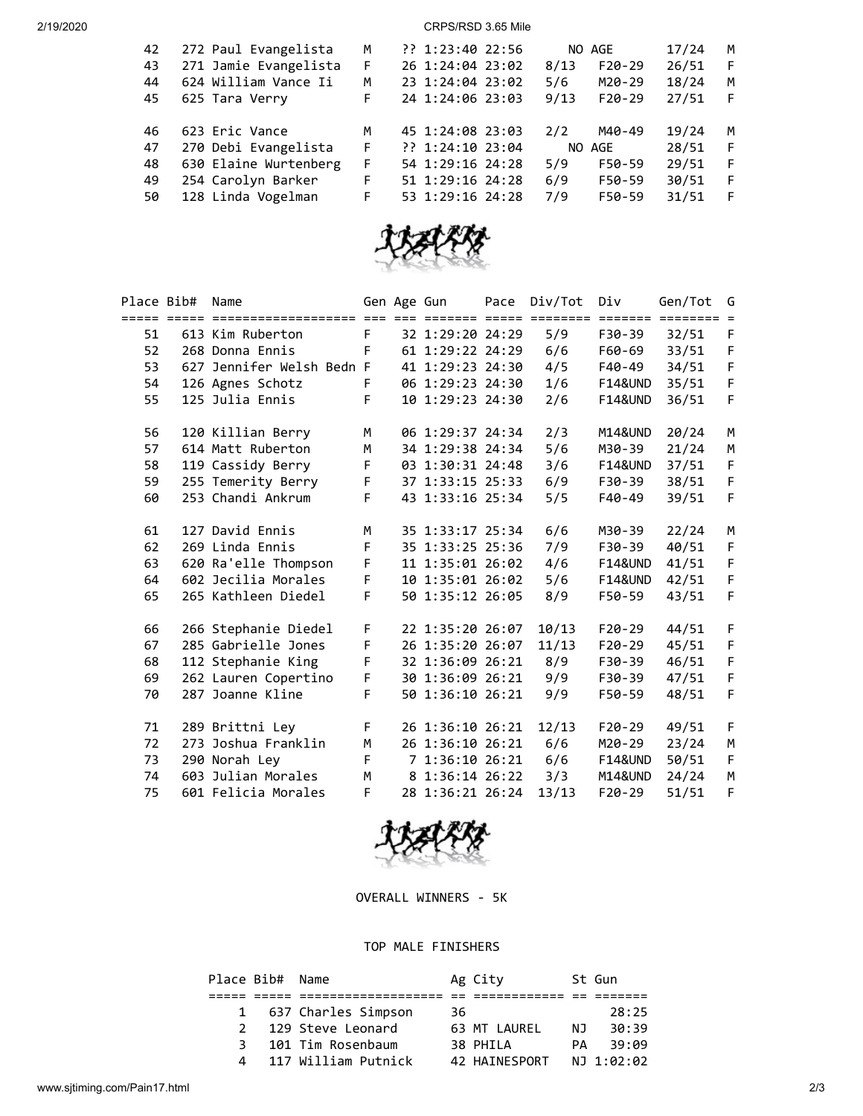2/19/2020 CRPS/RSD 3.65 Mile

| 42 | 272 Paul Evangelista  | М | ?? 1:23:40 22:56 | NO AGE           | 17/24<br>M  |  |
|----|-----------------------|---|------------------|------------------|-------------|--|
| 43 | 271 Jamie Evangelista | F | 26 1:24:04 23:02 | $F20-29$<br>8/13 | 26/51<br>F  |  |
| 44 | 624 William Vance Ii  | М | 23 1:24:04 23:02 | 5/6<br>M20-29    | 18/24<br>M  |  |
| 45 | 625 Tara Verry        | F | 24 1:24:06 23:03 | 9/13<br>$F20-29$ | 27/51<br>F  |  |
|    |                       |   |                  |                  |             |  |
| 46 | 623 Eric Vance        | М | 45 1:24:08 23:03 | 2/2<br>M40-49    | 19/24<br>M  |  |
| 47 | 270 Debi Evangelista  | F | ?? 1:24:10 23:04 | NO AGE           | 28/51<br>-F |  |
| 48 | 630 Elaine Wurtenberg | F | 54 1:29:16 24:28 | F50-59<br>5/9    | 29/51<br>-F |  |
| 49 | 254 Carolyn Barker    | F | 51 1:29:16 24:28 | 6/9<br>F50-59    | 30/51<br>F  |  |
| 50 | 128 Linda Vogelman    | F | 53 1:29:16 24:28 | 7/9<br>F50-59    | 31/51<br>F  |  |
|    |                       |   |                  |                  |             |  |



| Place Bib# | Name                      |                | Gen Age Gun |                    | Pace | Div/Tot | Div                | Gen/Tot                   | G           |
|------------|---------------------------|----------------|-------------|--------------------|------|---------|--------------------|---------------------------|-------------|
|            |                           |                |             |                    |      |         |                    | $=$ ======= $=$ ========= |             |
| 51         | 613 Kim Ruberton          | F <sub>1</sub> |             | 32 1:29:20 24:29   |      | 5/9     | F30-39             | 32/51                     | F           |
| 52         | 268 Donna Ennis           | F <sub>1</sub> |             | 61 1:29:22 24:29   |      | 6/6     | F60-69             | 33/51                     | $\mathsf F$ |
| 53         | 627 Jennifer Welsh Bedn F |                |             | 41 1:29:23 24:30   |      | 4/5     | F40-49             | 34/51                     | F           |
| 54         | 126 Agnes Schotz          |                |             | F 06 1:29:23 24:30 |      | 1/6     | F14&UND            | 35/51                     | $\mathsf F$ |
| 55         | 125 Julia Ennis           | F.             |             | 10 1:29:23 24:30   |      | 2/6     | F14&UND            | 36/51                     | F           |
| 56         | 120 Killian Berry         | М              |             | 06 1:29:37 24:34   |      | 2/3     | <b>M14&amp;UND</b> | 20/24                     | M           |
| 57         | 614 Matt Ruberton         | M              |             | 34 1:29:38 24:34   |      | 5/6     | M30-39             | 21/24                     | М           |
| 58         | 119 Cassidy Berry         | F.             |             | 03 1:30:31 24:48   |      | 3/6     | F14&UND            | 37/51                     | F           |
| 59         | 255 Temerity Berry        | $\mathsf F$    |             | 37 1:33:15 25:33   |      | 6/9     | F30-39             | 38/51                     | F           |
| 60         | 253 Chandi Ankrum         | F              |             | 43 1:33:16 25:34   |      | 5/5     | F40-49             | 39/51                     | F           |
| 61         | 127 David Ennis           | M              |             | 35 1:33:17 25:34   |      | 6/6     | M30-39             | 22/24                     | M           |
| 62         | 269 Linda Ennis           | F              |             | 35 1:33:25 25:36   |      | 7/9     | F30-39             | 40/51                     | F           |
| 63         | 620 Ra'elle Thompson      | $\mathsf F$    |             | 11 1:35:01 26:02   |      | 4/6     | F14&UND            | 41/51                     | F           |
| 64         | 602 Jecilia Morales       | $\mathsf F$    |             | 10 1:35:01 26:02   |      | 5/6     | <b>F14&amp;UND</b> | 42/51                     | F           |
| 65         | 265 Kathleen Diedel       | F              |             | 50 1:35:12 26:05   |      | 8/9     | F50-59             | 43/51                     | F           |
| 66         | 266 Stephanie Diedel      | F.             |             | 22 1:35:20 26:07   |      | 10/13   | F20-29             | 44/51                     | F           |
| 67         | 285 Gabrielle Jones       | $\mathsf F$    |             | 26 1:35:20 26:07   |      | 11/13   | F20-29             | 45/51                     | $\mathsf F$ |
| 68         | 112 Stephanie King        | F              |             | 32 1:36:09 26:21   |      | 8/9     | F30-39             | 46/51                     | F           |
| 69         | 262 Lauren Copertino      | $\mathsf F$    |             | 30 1:36:09 26:21   |      | 9/9     | F30-39             | 47/51                     | $\mathsf F$ |
| 70         | 287 Joanne Kline          | F              |             | 50 1:36:10 26:21   |      | 9/9     | F50-59             | 48/51                     | F           |
| 71         | 289 Brittni Ley           | F.             |             | 26 1:36:10 26:21   |      | 12/13   | $F20-29$           | 49/51                     | F           |
| 72         | 273 Joshua Franklin       | M              |             | 26 1:36:10 26:21   |      | 6/6     | M20-29             | 23/24                     | M           |
| 73         | 290 Norah Ley             | F              |             | 7 1:36:10 26:21    |      | 6/6     | <b>F14&amp;UND</b> | 50/51                     | F           |
| 74         | 603 Julian Morales        | M              |             | 8 1:36:14 26:22    |      | 3/3     | M14&UND            | 24/24                     | M           |
| 75         | 601 Felicia Morales       | F.             |             | 28 1:36:21 26:24   |      | 13/13   | $F20-29$           | 51/51                     | F           |



OVERALL WINNERS - 5K

## TOP MALE FINISHERS

|   | Place Bib# Name |                       |     | Ag City       |     | St Gun     |
|---|-----------------|-----------------------|-----|---------------|-----|------------|
|   |                 |                       |     |               |     |            |
|   |                 | 1 637 Charles Simpson | 36. |               |     | 28:25      |
|   |                 | 2 129 Steve Leonard   |     | 63 MT LAUREL  | NJ. | 30:39      |
| 3 |                 | 101 Tim Rosenbaum     |     | 38 PHILA      | PΔ  | 39:09      |
| 4 |                 | 117 William Putnick   |     | 42 HAINESPORT |     | NJ 1:02:02 |